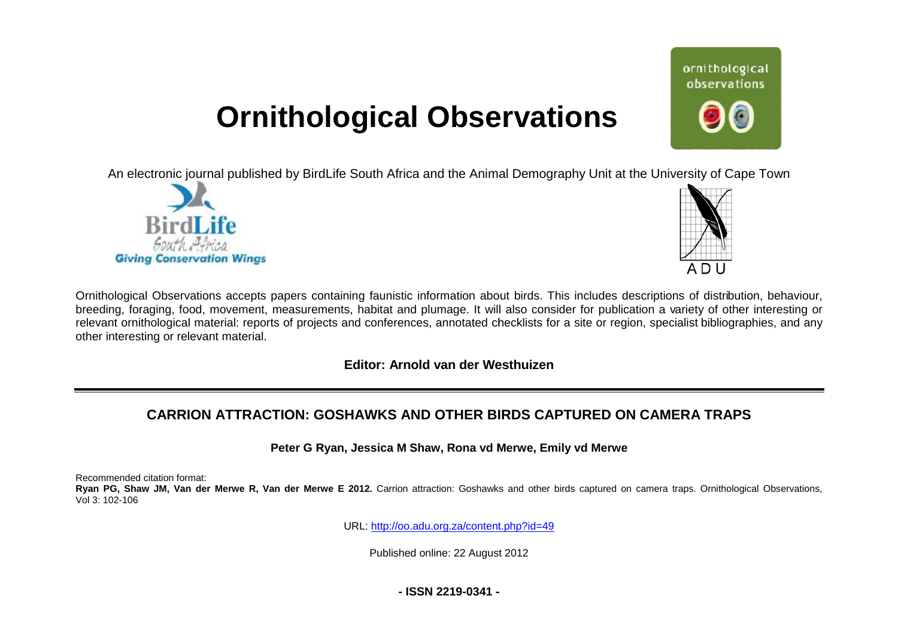# **Ornithological Observations**

An electronic journal published by BirdLife South Africa and the Animal Demography Unit at the University of Cape Town





ornithological observations

Ornithological Observations accepts papers containing faunistic information about birds. This includes descriptions of distribution, behaviour, Ornithological Observations accepts papers containing faunistic information about birds. This includes descriptions of distribution, behaviour,<br>breeding, foraging, food, movement, measurements, habitat and plumage. It will relevant ornithological material: reports of projects and conferences, annotated checklists for a site or region, specialist bibliographies, and any other interesting or relevant material.

**Editor: Arnold van der Westhuizen** 

## **CARRION ATTRACTION: ATTRACTION: GOSHAWKS AND OTHER BIRDS IRDS CAPTURED ON CAMERA TRAPS RAPS**

**Reter G Ryan, Jessica M Shaw, Rona vd Merwe, Emily vd Merwe** 

Recommended citation format:

Ryan PG, Shaw JM, Van der Merwe R, Van der Merwe E 2012. Carrion attraction: Goshawks and other birds captured on camera traps. Ornithological Observations, Vol 3: 102-106

URL: http://oo.adu.org.za/content.php?id=49

Published online: 22 August 2012

**- ISSN 2219-0341 -**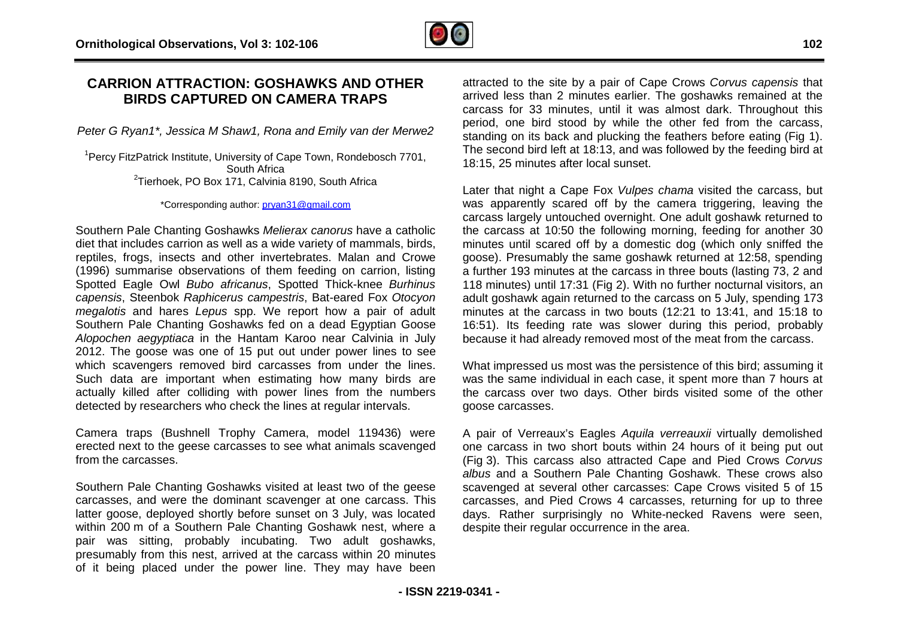

## **CARRION ATTRACTION: GOSHAWKS AND OTHER BIRDS CAPTURED ON CAMERA T TRAPS**

*Peter G Ryan1\*, Jessica M Shaw1, Rona and Emily van der Merwe2* 

<sup>1</sup>Percy FitzPatrick Institute, University of Cape Town, Rondebosch 7701,<br>South Africa South Africa <sup>2</sup>Tierhoek, PO Box 171, Calvinia 8190, South Africa

\*Corresponding author: \*Corresponding author: [pryan31@gmail.com](mailto:pryan31@gmail.com) 

Southern Pale Chanting Goshawks Melierax canorus have a catholic diet that includes carrion as well as a wide variety of mammals, birds, reptiles, frogs, insects and other invertebrates. Malan and Crowe reptiles, (1996) summarise observations of them feeding on carrion, listing Spotted Eagle Owl *Bubo africanus* , Spotted Thick-knee *Burhinus capensis*, Steenbok *Raphicerus campestris* , Bat-eared Fox *Otocyon*  megalotis and hares Lepus spp. We report how a pair of adult Southern Pale Chanting Goshawks fed on a dead Egyptian Goose Egyptian Alopochen aegyptiaca in the Hantam Karoo near Calvinia in July 2012. The goose was one of 15 put out under power lines to see 2012. The goose was one of 15 put out under power lines to see<br>which scavengers removed bird carcasses from under the lines. Such data are important when estimating how many birds are Such data are important when estimating how many birds are<br>actually killed after colliding with power lines from the numbers detected by researchers who check the lines at regular intervals.

Camera traps (Bushnell Trophy Camera, model 119436) were erected next to the geese carcasses to see what animals scavenged from the carcasses.

Southern Pale Chanting Goshawks visited at least two of the geese carcasses, and were the dominant scavenger at one carcass. This latter goose, deployed shortly before sunset on 3 July, was located within 200 m of a Southern Pale Chanting Goshawk nest, where a pair was sitting, probably incubating. Two adult goshawks, presumably from this nest, arrived at the carcass within 20 minutes pair was sitting, probably incubating. Two adult goshawks,<br>presumably-from-this-nest, arrived-at-the-carcass-within-20-minutes<br>of it being placed under the power-line. They-may-have-been attracted to the site by a pair of Cape Crows *Corvus capensis* that arrived less than 2 minutes earlier. The goshawks remained at the carcass for 33 minutes, until it was almost dark. Throughout this period, one bird stood by while the other fed from the carcass, standing on its back and plucking the feathers before eating (Fig 1). The second bi second bird left at 18:13, and was followed by the feeding bird at 18:15, 25 minutes after local sunset.

Later that night a Cape Fox Vulpes *chama* visited the carcass, but was apparently scared off by the camera triggering, leaving the was apparently scared off by the camera triggering,<br>carcass largely untouched overnight. One adult goshaw the carcass at 10 10:50 the following morning, feeding for another 30 minutes until scared off by a domestic dog (which only sniffed the goose). Presumably the same goshawk returned at 12 a further 193 minutes at the carcass in three bouts (lasting 73, 2 and 118 minutes) until 17:31 (Fig 2). With no further nocturnal visitors, an adult goshawk again returned to the carcass on 5 July, spending 173 adult goshawk again returned to the carcass on 5 July, spendir<br>minutes at the carcass in two bouts (12:21 to 13:41, and 15 16:51). Its feeding rate was slower during this period, probably 16:51). Its feeding rate was slower during this period, probab<br>because it had already removed most of the meat from the carcass. Ind was followed by the feeding bird at<br>Inset.<br>Julpes chama visited the carcass, but<br>Interval to camera triggering, leaving the<br>Inight. One adult goshawk returned to 50 the following morning, feeding for another 30<br>ed off by a domestic dog (which only sniffed the<br>ly the same goshawk returned at 12:58, spending With no further nocturnal visitors, an<br>the carcass on 5 July, spending 173<br>bouts (12:21 to 13:41, and 15:18 to

What impressed us most was the persistence of this bird; assuming it was the same individual in each case, it spent more than 7 hours at the carcass over two days. Other birds visited some of the other goose carcasses. the carcass over two days. Other birds visited some of the other<br>goose carcasses.<br>A pair of Verreaux's Eagles *Aquila verreauxii* virtually demolished

one carcass in two short bouts within 24 hours of it being put out (Fig 3). This carcass also attracted Cape and Pied Crows Corvus *albus* and a Southern Pale Chanting Goshawk. These crows also scavenged at several other carcasses: Cape Crows visited 5 of 15 carcasses, and Pied Crows 4 carcasses, returning for up to three scavenged at several other carcasses: Cape Crows visited 5 of 15<br>carcasses, and Pied Crows 4 carcasses, returning for up to three<br>days. Rather surprisingly no White-necked Ravens were seen, despite their regular occurrence in the area.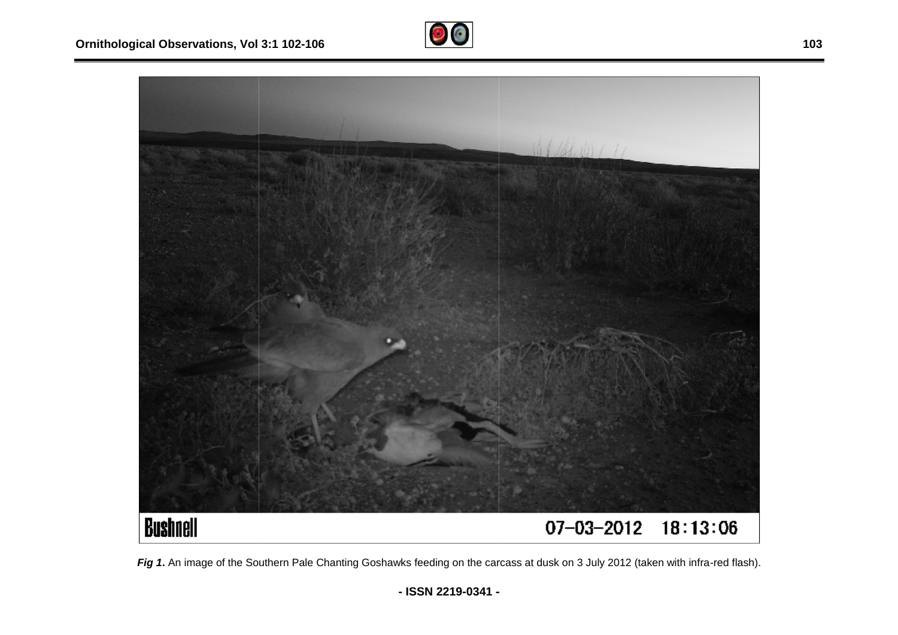



Fig 1. An image of the Southern Pale Chanting Goshawks feeding on the carcass at dusk on 3 July 2012 (taken with infra-red flash).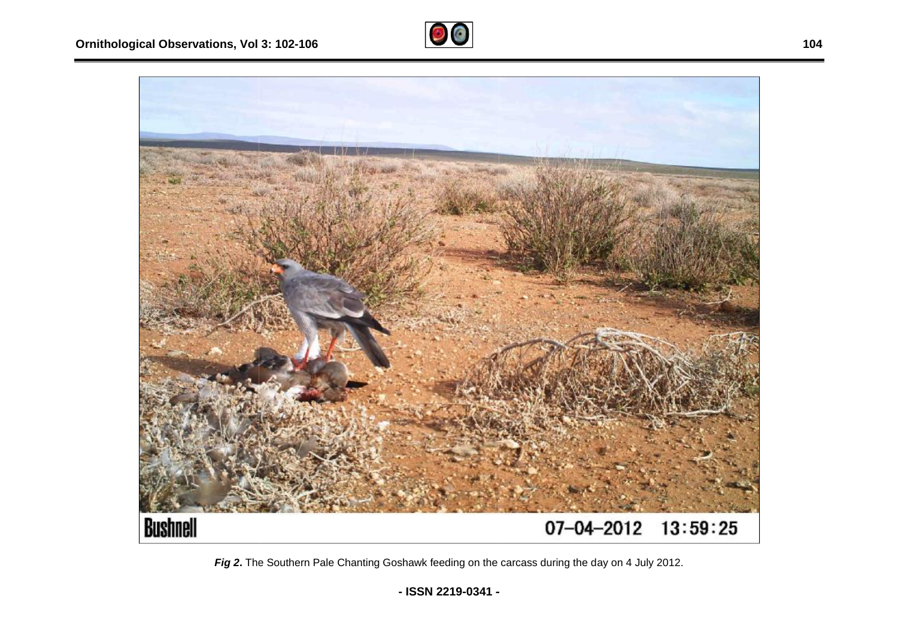



Fig 2. The Southern Pale Chanting Goshawk feeding on the carcass during the day on 4 July 2012.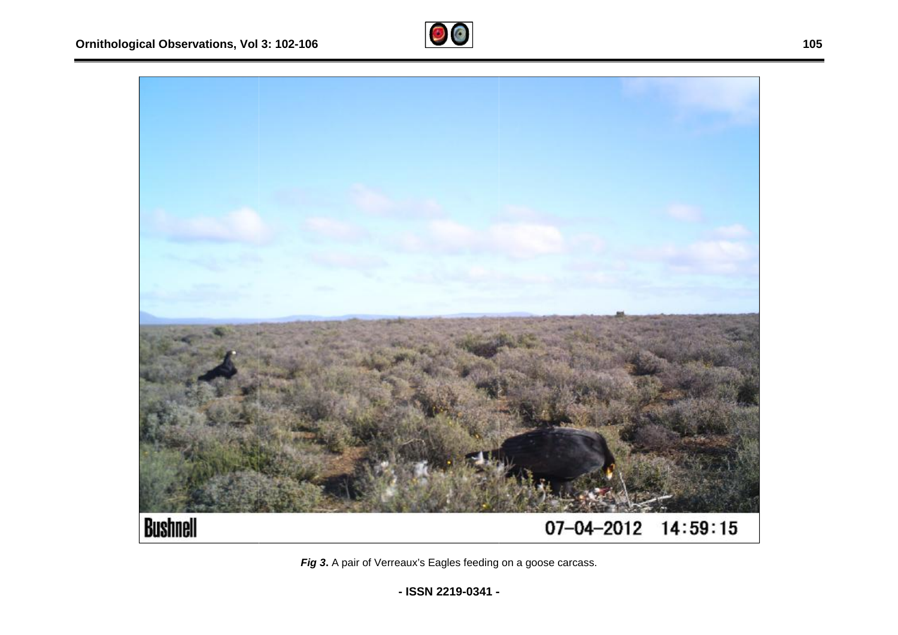





**- ISSN 2219-0341 -**